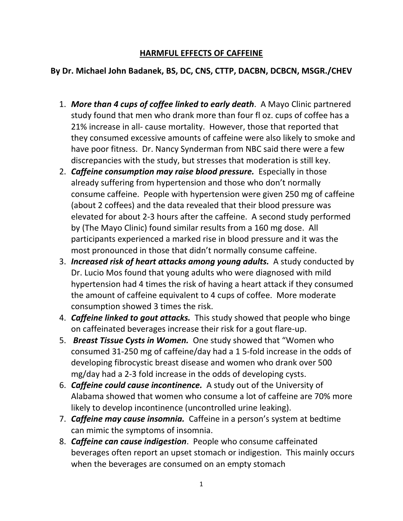## **HARMFUL EFFECTS OF CAFFEINE**

## **By Dr. Michael John Badanek, BS, DC, CNS, CTTP, DACBN, DCBCN, MSGR./CHEV**

- 1. *More than 4 cups of coffee linked to early death*. A Mayo Clinic partnered study found that men who drank more than four fl oz. cups of coffee has a 21% increase in all- cause mortality. However, those that reported that they consumed excessive amounts of caffeine were also likely to smoke and have poor fitness. Dr. Nancy Synderman from NBC said there were a few discrepancies with the study, but stresses that moderation is still key.
- 2. *Caffeine consumption may raise blood pressure.* Especially in those already suffering from hypertension and those who don't normally consume caffeine. People with hypertension were given 250 mg of caffeine (about 2 coffees) and the data revealed that their blood pressure was elevated for about 2-3 hours after the caffeine. A second study performed by (The Mayo Clinic) found similar results from a 160 mg dose. All participants experienced a marked rise in blood pressure and it was the most pronounced in those that didn't normally consume caffeine.
- 3. *Increased risk of heart attacks among young adults.* A study conducted by Dr. Lucio Mos found that young adults who were diagnosed with mild hypertension had 4 times the risk of having a heart attack if they consumed the amount of caffeine equivalent to 4 cups of coffee. More moderate consumption showed 3 times the risk.
- 4. *Caffeine linked to gout attacks.* This study showed that people who binge on caffeinated beverages increase their risk for a gout flare-up.
- 5. *Breast Tissue Cysts in Women.* One study showed that "Women who consumed 31-250 mg of caffeine/day had a 1 5-fold increase in the odds of developing fibrocystic breast disease and women who drank over 500 mg/day had a 2-3 fold increase in the odds of developing cysts.
- 6. *Caffeine could cause incontinence.* A study out of the University of Alabama showed that women who consume a lot of caffeine are 70% more likely to develop incontinence (uncontrolled urine leaking).
- 7. *Caffeine may cause insomnia.* Caffeine in a person's system at bedtime can mimic the symptoms of insomnia.
- 8. *Caffeine can cause indigestion*. People who consume caffeinated beverages often report an upset stomach or indigestion. This mainly occurs when the beverages are consumed on an empty stomach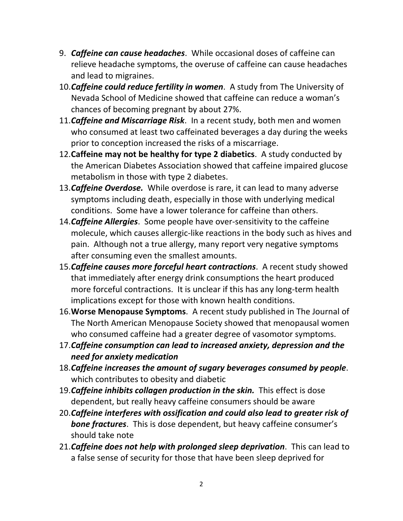- 9. *Caffeine can cause headaches*. While occasional doses of caffeine can relieve headache symptoms, the overuse of caffeine can cause headaches and lead to migraines.
- 10.*Caffeine could reduce fertility in women*. A study from The University of Nevada School of Medicine showed that caffeine can reduce a woman's chances of becoming pregnant by about 27%.
- 11.*Caffeine and Miscarriage Risk*. In a recent study, both men and women who consumed at least two caffeinated beverages a day during the weeks prior to conception increased the risks of a miscarriage.
- 12.**Caffeine may not be healthy for type 2 diabetics**. A study conducted by the American Diabetes Association showed that caffeine impaired glucose metabolism in those with type 2 diabetes.
- 13.*Caffeine Overdose.* While overdose is rare, it can lead to many adverse symptoms including death, especially in those with underlying medical conditions. Some have a lower tolerance for caffeine than others.
- 14.*Caffeine Allergies*. Some people have over-sensitivity to the caffeine molecule, which causes allergic-like reactions in the body such as hives and pain. Although not a true allergy, many report very negative symptoms after consuming even the smallest amounts.
- 15.*Caffeine causes more forceful heart contractions*. A recent study showed that immediately after energy drink consumptions the heart produced more forceful contractions. It is unclear if this has any long-term health implications except for those with known health conditions.
- 16.**Worse Menopause Symptoms**. A recent study published in The Journal of The North American Menopause Society showed that menopausal women who consumed caffeine had a greater degree of vasomotor symptoms.
- 17.*Caffeine consumption can lead to increased anxiety, depression and the need for anxiety medication*
- 18.*Caffeine increases the amount of sugary beverages consumed by people*. which contributes to obesity and diabetic
- 19.*Caffeine inhibits collagen production in the skin.* This effect is dose dependent, but really heavy caffeine consumers should be aware
- 20.*Caffeine interferes with ossification and could also lead to greater risk of bone fractures*. This is dose dependent, but heavy caffeine consumer's should take note
- 21.*Caffeine does not help with prolonged sleep deprivation*. This can lead to a false sense of security for those that have been sleep deprived for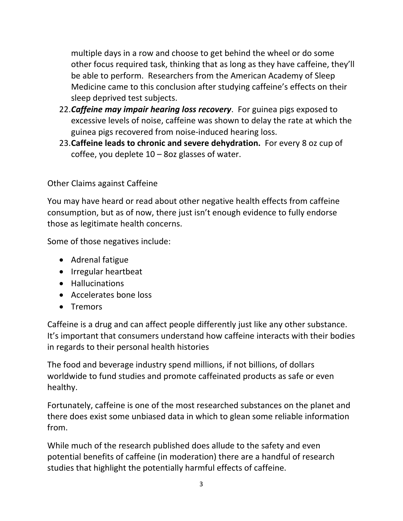multiple days in a row and choose to get behind the wheel or do some other focus required task, thinking that as long as they have caffeine, they'll be able to perform. Researchers from the American Academy of Sleep Medicine came to this conclusion after studying caffeine's effects on their sleep deprived test subjects.

- 22.*Caffeine may impair hearing loss recovery*. For guinea pigs exposed to excessive levels of noise, caffeine was shown to delay the rate at which the guinea pigs recovered from noise-induced hearing loss.
- 23.**Caffeine leads to chronic and severe dehydration.** For every 8 oz cup of coffee, you deplete  $10 - 8$ oz glasses of water.

## Other Claims against Caffeine

You may have heard or read about other negative health effects from caffeine consumption, but as of now, there just isn't enough evidence to fully endorse those as legitimate health concerns.

Some of those negatives include:

- Adrenal fatigue
- Irregular heartbeat
- Hallucinations
- Accelerates bone loss
- Tremors

Caffeine is a drug and can affect people differently just like any other substance. It's important that consumers understand how caffeine interacts with their bodies in regards to their personal health histories

The food and beverage industry spend millions, if not billions, of dollars worldwide to fund studies and promote caffeinated products as safe or even healthy.

Fortunately, caffeine is one of the most researched substances on the planet and there does exist some unbiased data in which to glean some reliable information from.

While much of the research published does allude to the safety and even potential benefits of caffeine (in moderation) there are a handful of research studies that highlight the potentially harmful effects of caffeine.